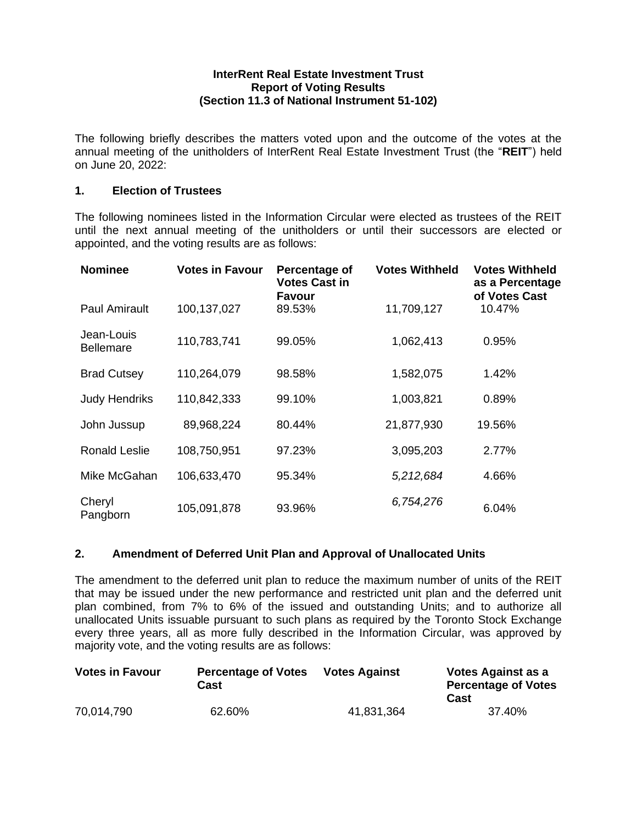### **InterRent Real Estate Investment Trust Report of Voting Results (Section 11.3 of National Instrument 51-102)**

The following briefly describes the matters voted upon and the outcome of the votes at the annual meeting of the unitholders of InterRent Real Estate Investment Trust (the "**REIT**") held on June 20, 2022:

# **1. Election of Trustees**

The following nominees listed in the Information Circular were elected as trustees of the REIT until the next annual meeting of the unitholders or until their successors are elected or appointed, and the voting results are as follows:

| <b>Nominee</b>                 | <b>Votes in Favour</b> | Percentage of<br><b>Votes Cast in</b><br><b>Favour</b> | <b>Votes Withheld</b> | <b>Votes Withheld</b><br>as a Percentage<br>of Votes Cast |
|--------------------------------|------------------------|--------------------------------------------------------|-----------------------|-----------------------------------------------------------|
| <b>Paul Amirault</b>           | 100,137,027            | 89.53%                                                 | 11,709,127            | 10.47%                                                    |
| Jean-Louis<br><b>Bellemare</b> | 110,783,741            | 99.05%                                                 | 1,062,413             | 0.95%                                                     |
| <b>Brad Cutsey</b>             | 110,264,079            | 98.58%                                                 | 1,582,075             | 1.42%                                                     |
| <b>Judy Hendriks</b>           | 110,842,333            | 99.10%                                                 | 1,003,821             | 0.89%                                                     |
| John Jussup                    | 89,968,224             | 80.44%                                                 | 21,877,930            | 19.56%                                                    |
| <b>Ronald Leslie</b>           | 108,750,951            | 97.23%                                                 | 3,095,203             | 2.77%                                                     |
| Mike McGahan                   | 106,633,470            | 95.34%                                                 | 5,212,684             | 4.66%                                                     |
| Cheryl<br>Pangborn             | 105,091,878            | 93.96%                                                 | 6,754,276             | 6.04%                                                     |

## **2. Amendment of Deferred Unit Plan and Approval of Unallocated Units**

The amendment to the deferred unit plan to reduce the maximum number of units of the REIT that may be issued under the new performance and restricted unit plan and the deferred unit plan combined, from 7% to 6% of the issued and outstanding Units; and to authorize all unallocated Units issuable pursuant to such plans as required by the Toronto Stock Exchange every three years, all as more fully described in the Information Circular, was approved by majority vote, and the voting results are as follows:

| <b>Votes in Favour</b> | <b>Percentage of Votes</b><br>Cast | <b>Votes Against</b> | Votes Against as a<br><b>Percentage of Votes</b><br>Cast |
|------------------------|------------------------------------|----------------------|----------------------------------------------------------|
| 70,014,790             | 62.60%                             | 41,831,364           | 37.40%                                                   |